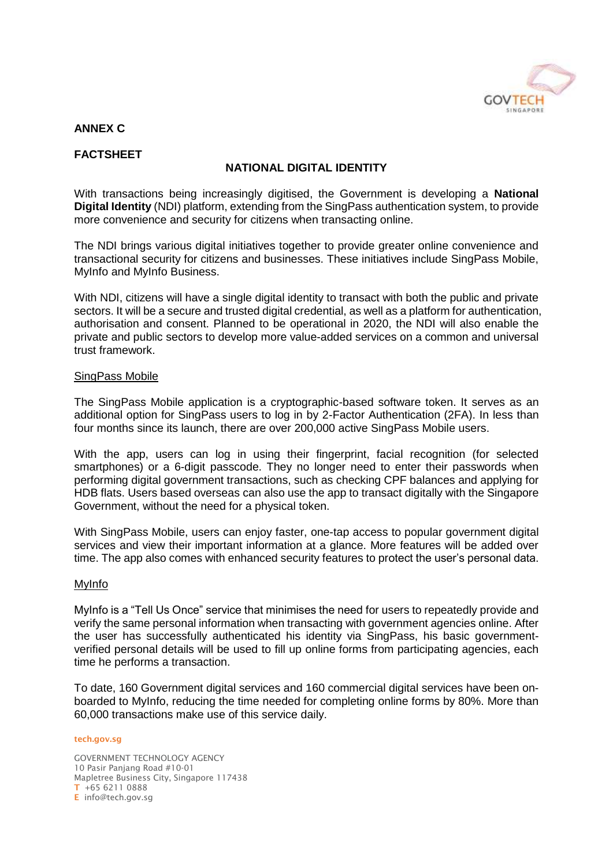

# **ANNEX C**

# **FACTSHEET**

# **NATIONAL DIGITAL IDENTITY**

With transactions being increasingly digitised, the Government is developing a **National Digital Identity** (NDI) platform, extending from the SingPass authentication system, to provide more convenience and security for citizens when transacting online.

The NDI brings various digital initiatives together to provide greater online convenience and transactional security for citizens and businesses. These initiatives include SingPass Mobile, MyInfo and MyInfo Business.

With NDI, citizens will have a single digital identity to transact with both the public and private sectors. It will be a secure and trusted digital credential, as well as a platform for authentication, authorisation and consent. Planned to be operational in 2020, the NDI will also enable the private and public sectors to develop more value-added services on a common and universal trust framework.

#### SingPass Mobile

The SingPass Mobile application is a cryptographic-based software token. It serves as an additional option for SingPass users to log in by 2-Factor Authentication (2FA). In less than four months since its launch, there are over 200,000 active SingPass Mobile users.

With the app, users can log in using their fingerprint, facial recognition (for selected smartphones) or a 6-digit passcode. They no longer need to enter their passwords when performing digital government transactions, such as checking CPF balances and applying for HDB flats. Users based overseas can also use the app to transact digitally with the Singapore Government, without the need for a physical token.

With SingPass Mobile, users can enjoy faster, one-tap access to popular government digital services and view their important information at a glance. More features will be added over time. The app also comes with enhanced security features to protect the user's personal data.

#### MyInfo

MyInfo is a "Tell Us Once" service that minimises the need for users to repeatedly provide and verify the same personal information when transacting with government agencies online. After the user has successfully authenticated his identity via SingPass, his basic governmentverified personal details will be used to fill up online forms from participating agencies, each time he performs a transaction.

To date, 160 Government digital services and 160 commercial digital services have been onboarded to MyInfo, reducing the time needed for completing online forms by 80%. More than 60,000 transactions make use of this service daily.

#### **tech.gov.sg**

GOVERNMENT TECHNOLOGY AGENCY 10 Pasir Panjang Road #10-01 Mapletree Business City, Singapore 117438 **T** +65 6211 0888 **E** info@tech.gov.sg